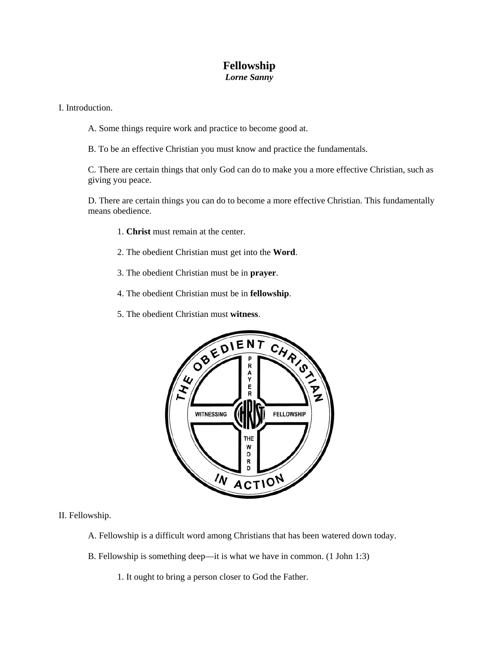## **Fellowship**  *Lorne Sanny*

I. Introduction.

- A. Some things require work and practice to become good at.
- B. To be an effective Christian you must know and practice the fundamentals.

C. There are certain things that only God can do to make you a more effective Christian, such as giving you peace.

D. There are certain things you can do to become a more effective Christian. This fundamentally means obedience.

- 1. **Christ** must remain at the center.
- 2. The obedient Christian must get into the **Word**.
- 3. The obedient Christian must be in **prayer**.
- 4. The obedient Christian must be in **fellowship**.
- 5. The obedient Christian must **witness**.



## II. Fellowship.

- A. Fellowship is a difficult word among Christians that has been watered down today.
- B. Fellowship is something deep—it is what we have in common. (1 John 1:3)
	- 1. It ought to bring a person closer to God the Father.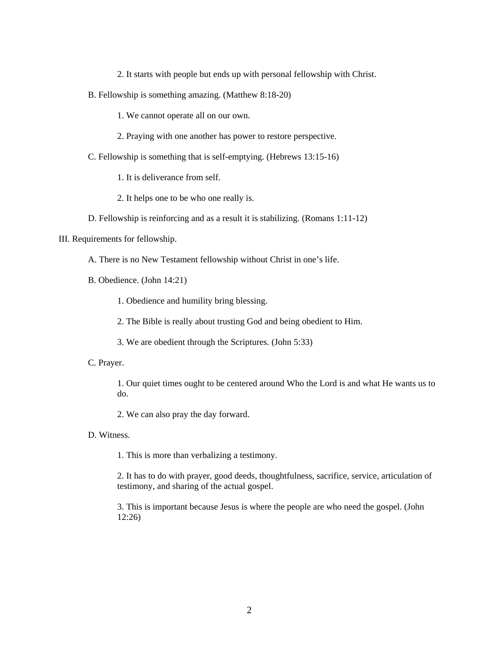2. It starts with people but ends up with personal fellowship with Christ.

B. Fellowship is something amazing. (Matthew 8:18-20)

1. We cannot operate all on our own.

- 2. Praying with one another has power to restore perspective.
- C. Fellowship is something that is self-emptying. (Hebrews 13:15-16)

1. It is deliverance from self.

- 2. It helps one to be who one really is.
- D. Fellowship is reinforcing and as a result it is stabilizing. (Romans 1:11-12)

III. Requirements for fellowship.

A. There is no New Testament fellowship without Christ in one's life.

B. Obedience. (John 14:21)

1. Obedience and humility bring blessing.

2. The Bible is really about trusting God and being obedient to Him.

- 3. We are obedient through the Scriptures. (John 5:33)
- C. Prayer.

1. Our quiet times ought to be centered around Who the Lord is and what He wants us to do.

2. We can also pray the day forward.

D. Witness.

1. This is more than verbalizing a testimony.

2. It has to do with prayer, good deeds, thoughtfulness, sacrifice, service, articulation of testimony, and sharing of the actual gospel.

3. This is important because Jesus is where the people are who need the gospel. (John 12:26)